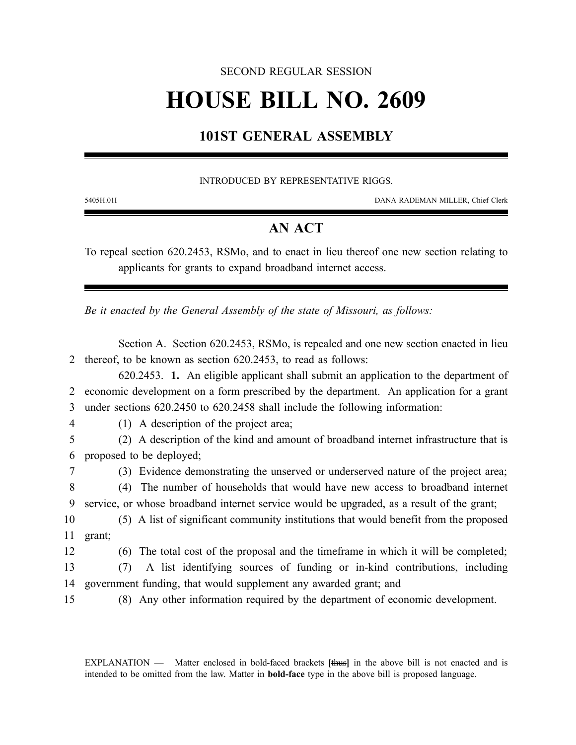### SECOND REGULAR SESSION

# **HOUSE BILL NO. 2609**

# **101ST GENERAL ASSEMBLY**

#### INTRODUCED BY REPRESENTATIVE RIGGS.

5405H.01I DANA RADEMAN MILLER, Chief Clerk

## **AN ACT**

To repeal section 620.2453, RSMo, and to enact in lieu thereof one new section relating to applicants for grants to expand broadband internet access.

*Be it enacted by the General Assembly of the state of Missouri, as follows:*

Section A. Section 620.2453, RSMo, is repealed and one new section enacted in lieu 2 thereof, to be known as section 620.2453, to read as follows:

620.2453. **1.** An eligible applicant shall submit an application to the department of 2 economic development on a form prescribed by the department. An application for a grant 3 under sections 620.2450 to 620.2458 shall include the following information:

4 (1) A description of the project area;

5 (2) A description of the kind and amount of broadband internet infrastructure that is 6 proposed to be deployed;

7 (3) Evidence demonstrating the unserved or underserved nature of the project area;

8 (4) The number of households that would have new access to broadband internet 9 service, or whose broadband internet service would be upgraded, as a result of the grant;

10 (5) A list of significant community institutions that would benefit from the proposed 11 grant;

12 (6) The total cost of the proposal and the timeframe in which it will be completed;

13 (7) A list identifying sources of funding or in-kind contributions, including 14 government funding, that would supplement any awarded grant; and

15 (8) Any other information required by the department of economic development.

EXPLANATION — Matter enclosed in bold-faced brackets **[**thus**]** in the above bill is not enacted and is intended to be omitted from the law. Matter in **bold-face** type in the above bill is proposed language.